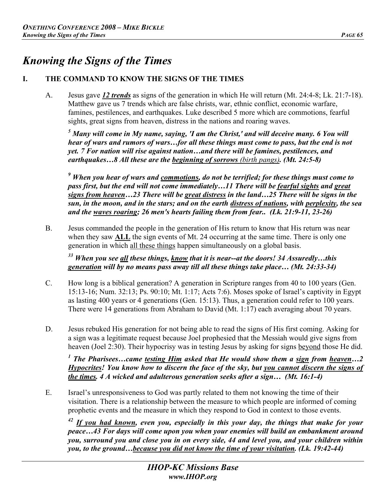# *Knowing the Signs of the Times*

# **I. THE COMMAND TO KNOW THE SIGNS OF THE TIMES**

A. Jesus gave *12 trends* as signs of the generation in which He will return (Mt. 24:4-8; Lk. 21:7-18). Matthew gave us 7 trends which are false christs, war, ethnic conflict, economic warfare, famines, pestilences, and earthquakes. Luke described 5 more which are commotions, fearful sights, great signs from heaven, distress in the nations and roaring waves.

<sup>5</sup> Many will come in My name, saying, 'I am the Christ,' and will deceive many. 6 You will *hear of wars and rumors of wars…for all these things must come to pass, but the end is not yet. 7 For nation will rise against nation…and there will be famines, pestilences, and earthquakes…8 All these are the beginning of sorrows (birth pangs). (Mt. 24:5-8)* 

<sup>9</sup> When you hear of wars and <u>commotions</u>, do not be terrified; for these things must come to *pass first, but the end will not come immediately…11 There will be fearful sights and great signs from heaven…23 There will be great distress in the land…25 There will be signs in the sun, in the moon, and in the stars; and on the earth distress of nations, with perplexity, the sea and the waves roaring; 26 men's hearts failing them from fear.. (Lk. 21:9-11, 23-26)* 

B. Jesus commanded the people in the generation of His return to know that His return was near when they saw **ALL** the sign events of Mt. 24 occurring at the same time. There is only one generation in which all these things happen simultaneously on a global basis.

*<sup>33</sup> When you see all these things, know that it is near--at the doors! 34 Assuredly…this generation will by no means pass away till all these things take place… (Mt. 24:33-34)* 

- C. How long is a biblical generation? A generation in Scripture ranges from 40 to 100 years (Gen. 15:13-16; Num. 32:13; Ps. 90:10; Mt. 1:17; Acts 7:6). Moses spoke of Israel's captivity in Egypt as lasting 400 years or 4 generations (Gen. 15:13). Thus, a generation could refer to 100 years. There were 14 generations from Abraham to David (Mt. 1:17) each averaging about 70 years.
- D. Jesus rebuked His generation for not being able to read the signs of His first coming. Asking for a sign was a legitimate request because Joel prophesied that the Messiah would give signs from heaven (Joel 2:30). Their hypocrisy was in testing Jesus by asking for signs beyond those He did.

*<sup>1</sup> The Pharisees…came testing Him asked that He would show them a sign from heaven…2 Hypocrites! You know how to discern the face of the sky, but you cannot discern the signs of the times. 4 A wicked and adulterous generation seeks after a sign… (Mt. 16:1-4)* 

E. Israel's unresponsiveness to God was partly related to them not knowing the time of their visitation. There is a relationship between the measure to which people are informed of coming prophetic events and the measure in which they respond to God in context to those events.

*<sup>42</sup> If you had known, even you, especially in this your day, the things that make for your peace…43 For days will come upon you when your enemies will build an embankment around you, surround you and close you in on every side, 44 and level you, and your children within you, to the ground…because you did not know the time of your visitation. (Lk. 19:42-44)*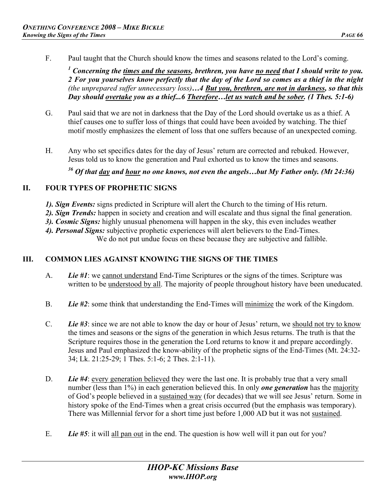F. Paul taught that the Church should know the times and seasons related to the Lord's coming.

<sup>1</sup> Concerning the <u>times and the seasons</u>, brethren, you have <u>no need</u> that I should write to you. *2 For you yourselves know perfectly that the day of the Lord so comes as a thief in the night (the unprepared suffer unnecessary loss)…4 But you, brethren, are not in darkness, so that this Day should overtake you as a thief...6 Therefore…let us watch and be sober. (1 Thes. 5:1-6)* 

- G. Paul said that we are not in darkness that the Day of the Lord should overtake us as a thief. A thief causes one to suffer loss of things that could have been avoided by watching. The thief motif mostly emphasizes the element of loss that one suffers because of an unexpected coming.
- H. Any who set specifics dates for the day of Jesus' return are corrected and rebuked. However, Jesus told us to know the generation and Paul exhorted us to know the times and seasons.

*36 Of that day and hour no one knows, not even the angels…but My Father only. (Mt 24:36)* 

#### **II. FOUR TYPES OF PROPHETIC SIGNS**

- *1). Sign Events:* signs predicted in Scripture will alert the Church to the timing of His return.
- *2). Sign Trends:* happen in society and creation and will escalate and thus signal the final generation.
- *3). Cosmic Signs:* highly unusual phenomena will happen in the sky, this even includes weather
- *4). Personal Signs:* subjective prophetic experiences will alert believers to the End-Times. We do not put undue focus on these because they are subjective and fallible.

# **III. COMMON LIES AGAINST KNOWING THE SIGNS OF THE TIMES**

- A. *Lie #1*: we cannot understand End-Time Scriptures or the signs of the times. Scripture was written to be understood by all. The majority of people throughout history have been uneducated.
- B. *Lie #2*: some think that understanding the End-Times will minimize the work of the Kingdom.
- C. *Lie #3*: since we are not able to know the day or hour of Jesus' return, we should not try to know the times and seasons or the signs of the generation in which Jesus returns. The truth is that the Scripture requires those in the generation the Lord returns to know it and prepare accordingly. Jesus and Paul emphasized the know-ability of the prophetic signs of the End-Times (Mt. 24:32- 34; Lk. 21:25-29; 1 Thes. 5:1-6; 2 Thes. 2:1-11).
- D. *Lie #4*: every generation believed they were the last one. It is probably true that a very small number (less than 1%) in each generation believed this. In only *one generation* has the majority of God's people believed in a sustained way (for decades) that we will see Jesus' return. Some in history spoke of the End-Times when a great crisis occurred (but the emphasis was temporary). There was Millennial fervor for a short time just before 1,000 AD but it was not sustained.
- E. *Lie #5*: it will all pan out in the end. The question is how well will it pan out for you?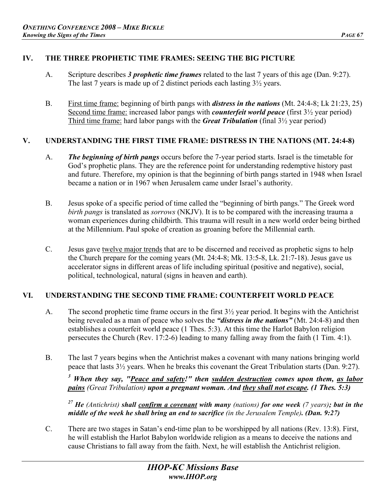# **IV. THE THREE PROPHETIC TIME FRAMES: SEEING THE BIG PICTURE**

- A. Scripture describes *3 prophetic time frames* related to the last 7 years of this age (Dan. 9:27). The last 7 years is made up of 2 distinct periods each lasting 3½ years.
- B. First time frame: beginning of birth pangs with *distress in the nations* (Mt. 24:4-8; Lk 21:23, 25) Second time frame: increased labor pangs with *counterfeit world peace* (first 3½ year period) Third time frame: hard labor pangs with the *Great Tribulation* (final 3½ year period)

#### **V. UNDERSTANDING THE FIRST TIME FRAME: DISTRESS IN THE NATIONS (MT. 24:4-8)**

- A. *The beginning of birth pangs* occurs before the 7-year period starts. Israel is the timetable for God's prophetic plans. They are the reference point for understanding redemptive history past and future. Therefore, my opinion is that the beginning of birth pangs started in 1948 when Israel became a nation or in 1967 when Jerusalem came under Israel's authority.
- B. Jesus spoke of a specific period of time called the "beginning of birth pangs." The Greek word *birth pangs* is translated as *sorrows* (NKJV). It is to be compared with the increasing trauma a woman experiences during childbirth. This trauma will result in a new world order being birthed at the Millennium. Paul spoke of creation as groaning before the Millennial earth.
- C. Jesus gave twelve major trends that are to be discerned and received as prophetic signs to help the Church prepare for the coming years (Mt. 24:4-8; Mk. 13:5-8, Lk. 21:7-18). Jesus gave us accelerator signs in different areas of life including spiritual (positive and negative), social, political, technological, natural (signs in heaven and earth).

#### **VI. UNDERSTANDING THE SECOND TIME FRAME: COUNTERFEIT WORLD PEACE**

- A. The second prophetic time frame occurs in the first 3½ year period. It begins with the Antichrist being revealed as a man of peace who solves the *"distress in the nations"* (Mt. 24:4-8) and then establishes a counterfeit world peace (1 Thes. 5:3). At this time the Harlot Babylon religion persecutes the Church (Rev. 17:2-6) leading to many falling away from the faith (1 Tim. 4:1).
- B. The last 7 years begins when the Antichrist makes a covenant with many nations bringing world peace that lasts 3½ years. When he breaks this covenant the Great Tribulation starts (Dan. 9:27).

*3 When they say, "Peace and safety!" then sudden destruction comes upon them, as labor pains (Great Tribulation) upon a pregnant woman. And they shall not escape. (1 Thes. 5:3)* 

*27 He (Antichrist) shall confirm a covenant with many (nations) for one week (7 years); but in the middle of the week he shall bring an end to sacrifice (in the Jerusalem Temple). (Dan. 9:27)* 

C. There are two stages in Satan's end-time plan to be worshipped by all nations (Rev. 13:8). First, he will establish the Harlot Babylon worldwide religion as a means to deceive the nations and cause Christians to fall away from the faith. Next, he will establish the Antichrist religion.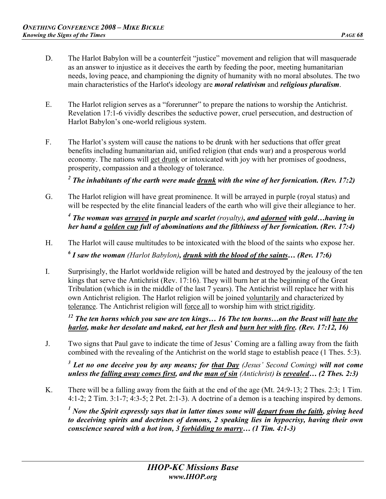- D. The Harlot Babylon will be a counterfeit "justice" movement and religion that will masquerade as an answer to injustice as it deceives the earth by feeding the poor, meeting humanitarian needs, loving peace, and championing the dignity of humanity with no moral absolutes. The two main characteristics of the Harlot's ideology are *moral relativism* and *religious pluralism*.
- E. The Harlot religion serves as a "forerunner" to prepare the nations to worship the Antichrist. Revelation 17:1-6 vividly describes the seductive power, cruel persecution, and destruction of Harlot Babylon's one-world religious system.
- F. The Harlot's system will cause the nations to be drunk with her seductions that offer great benefits including humanitarian aid, unified religion (that ends war) and a prosperous world economy. The nations will get drunk or intoxicated with joy with her promises of goodness, prosperity, compassion and a theology of tolerance.

<sup>2</sup> The inhabitants of the earth were made <u>drunk</u> with the wine of her fornication. (Rev. 17:2)

G. The Harlot religion will have great prominence. It will be arrayed in purple (royal status) and will be respected by the elite financial leaders of the earth who will give their allegiance to her.

<sup>4</sup> The woman was <u>arrayed</u> in purple and scarlet (royalty), and <u>adorned</u> with gold...having in *her hand a golden cup full of abominations and the filthiness of her fornication. (Rev. 17:4)* 

- H. The Harlot will cause multitudes to be intoxicated with the blood of the saints who expose her. *6 I saw the woman (Harlot Babylon), drunk with the blood of the saints… (Rev. 17:6)*
- I. Surprisingly, the Harlot worldwide religion will be hated and destroyed by the jealousy of the ten kings that serve the Antichrist (Rev. 17:16). They will burn her at the beginning of the Great Tribulation (which is in the middle of the last 7 years). The Antichrist will replace her with his own Antichrist religion. The Harlot religion will be joined voluntarily and characterized by tolerance. The Antichrist religion will force all to worship him with strict rigidity.

*12 The ten horns which you saw are ten kings… 16 The ten horns…on the Beast will hate the harlot, make her desolate and naked, eat her flesh and burn her with fire. (Rev. 17:12, 16)* 

J. Two signs that Paul gave to indicate the time of Jesus' Coming are a falling away from the faith combined with the revealing of the Antichrist on the world stage to establish peace (1 Thes. 5:3).

*3 Let no one deceive you by any means; for that Day (Jesus' Second Coming) will not come unless the falling away comes first, and the man of sin (Antichrist) is revealed… (2 Thes. 2:3)* 

K. There will be a falling away from the faith at the end of the age (Mt. 24:9-13; 2 Thes. 2:3; 1 Tim. 4:1-2; 2 Tim. 3:1-7; 4:3-5; 2 Pet. 2:1-3). A doctrine of a demon is a teaching inspired by demons.

<sup>1</sup> Now the Spirit expressly says that in latter times some will <u>depart from the faith</u>, giving heed *to deceiving spirits and doctrines of demons, 2 speaking lies in hypocrisy, having their own conscience seared with a hot iron, 3 forbidding to marry… (1 Tim. 4:1-3)*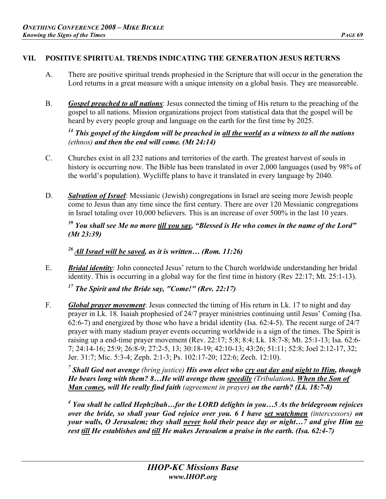# **VII. POSITIVE SPIRITUAL TRENDS INDICATING THE GENERATION JESUS RETURNS**

- A. There are positive spiritual trends prophesied in the Scripture that will occur in the generation the Lord returns in a great measure with a unique intensity on a global basis. They are measureable.
- B. *Gospel preached to all nations*: Jesus connected the timing of His return to the preaching of the gospel to all nations. Mission organizations project from statistical data that the gospel will be heard by every people group and language on the earth for the first time by 2025.

# *14 This gospel of the kingdom will be preached in all the world as a witness to all the nations (ethnos) and then the end will come. (Mt 24:14)*

- C. Churches exist in all 232 nations and territories of the earth. The greatest harvest of souls in history is occurring now. The Bible has been translated in over 2,000 languages (used by 98% of the world's population). Wycliffe plans to have it translated in every language by 2040.
- D. *Salvation of Israel*: Messianic (Jewish) congregations in Israel are seeing more Jewish people come to Jesus than any time since the first century. There are over 120 Messianic congregations in Israel totaling over 10,000 believers. This is an increase of over 500% in the last 10 years.

# *39 You shall see Me no more till you say, "Blessed is He who comes in the name of the Lord" (Mt 23:39)*

*<sup>26</sup> All Israel will be saved, as it is written… (Rom. 11:26)* 

E. *Bridal identity*: John connected Jesus' return to the Church worldwide understanding her bridal identity. This is occurring in a global way for the first time in history (Rev 22:17; Mt. 25:1-13).

*17 The Spirit and the Bride say, "Come!" (Rev. 22:17)*

F. *Global prayer movement*: Jesus connected the timing of His return in Lk. 17 to night and day prayer in Lk. 18. Isaiah prophesied of 24/7 prayer ministries continuing until Jesus' Coming (Isa. 62:6-7) and energized by those who have a bridal identity (Isa. 62:4-5). The recent surge of 24/7 prayer with many stadium prayer events occurring worldwide is a sign of the times. The Spirit is raising up a end-time prayer movement (Rev. 22:17; 5:8; 8:4; Lk. 18:7-8; Mt. 25:1-13; Isa. 62:6- 7; 24:14-16; 25:9; 26:8-9; 27:2-5, 13; 30:18-19; 42:10-13; 43:26; 51:11; 52:8; Joel 2:12-17, 32; Jer. 31:7; Mic. 5:3-4; Zeph. 2:1-3; Ps. 102:17-20; 122:6; Zech. 12:10).

*7 Shall God not avenge (bring justice) His own elect who cry out day and night to Him, though He bears long with them? 8…He will avenge them speedily (Tribulation). When the Son of Man comes, will He really find faith (agreement in prayer) on the earth? (Lk. 18:7-8)*

*4 You shall be called Hephzibah…for the LORD delights in you…5 As the bridegroom rejoices over the bride, so shall your God rejoice over you. 6 I have set watchmen (intercessors) on your walls, O Jerusalem; they shall never hold their peace day or night…7 and give Him no rest till He establishes and till He makes Jerusalem a praise in the earth. (Isa. 62:4-7)*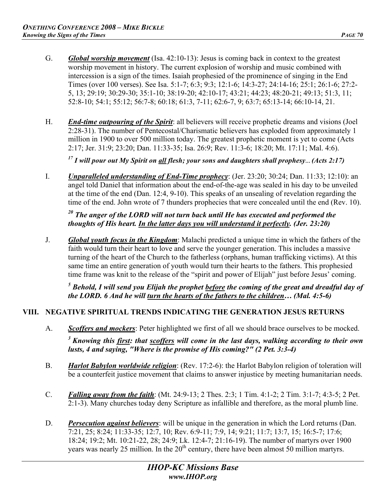- G. *Global worship movement* (Isa. 42:10-13): Jesus is coming back in context to the greatest worship movement in history. The current explosion of worship and music combined with intercession is a sign of the times. Isaiah prophesied of the prominence of singing in the End Times (over 100 verses). See Isa. 5:1-7; 6:3; 9:3; 12:1-6; 14:3-27; 24:14-16; 25:1; 26:1-6; 27:2- 5, 13; 29:19; 30:29-30; 35:1-10; 38:19-20; 42:10-17; 43:21; 44:23; 48:20-21; 49:13; 51:3, 11; 52:8-10; 54:1; 55:12; 56:7-8; 60:18; 61:3, 7-11; 62:6-7, 9; 63:7; 65:13-14; 66:10-14, 21.
- H. *End-time outpouring of the Spirit*: all believers will receive prophetic dreams and visions (Joel 2:28-31). The number of Pentecostal/Charismatic believers has exploded from approximately 1 million in 1900 to over 500 million today. The greatest prophetic moment is yet to come (Acts 2:17; Jer. 31:9; 23:20; Dan. 11:33-35; Isa. 26:9; Rev. 11:3-6; 18:20; Mt. 17:11; Mal. 4:6).

*<sup>17</sup> I will pour out My Spirit on all flesh; your sons and daughters shall prophesy… (Acts 2:17)* 

I. *Unparalleled understanding of End-Time prophecy*: (Jer. 23:20; 30:24; Dan. 11:33; 12:10): an angel told Daniel that information about the end-of-the-age was sealed in his day to be unveiled at the time of the end (Dan. 12:4, 9-10). This speaks of an unsealing of revelation regarding the time of the end. John wrote of 7 thunders prophecies that were concealed until the end (Rev. 10).

# *20 The anger of the LORD will not turn back until He has executed and performed the thoughts of His heart. In the latter days you will understand it perfectly. (Jer. 23:20)*

J. *Global youth focus in the Kingdom*: Malachi predicted a unique time in which the fathers of the faith would turn their heart to love and serve the younger generation. This includes a massive turning of the heart of the Church to the fatherless (orphans, human trafficking victims). At this same time an entire generation of youth would turn their hearts to the fathers. This prophesied time frame was knit to the release of the "spirit and power of Elijah" just before Jesus' coming.

<sup>5</sup> Behold, I will send you Elijah the prophet <u>before</u> the coming of the great and dreadful day of *the LORD. 6 And he will turn the hearts of the fathers to the children… (Mal. 4:5-6)* 

#### **VIII. NEGATIVE SPIRITUAL TRENDS INDICATING THE GENERATION JESUS RETURNS**

A. *Scoffers and mockers*: Peter highlighted we first of all we should brace ourselves to be mocked.

*<sup>3</sup> Knowing this first: that scoffers will come in the last days, walking according to their own lusts, 4 and saying, "Where is the promise of His coming?" (2 Pet. 3:3-4)* 

- B. *Harlot Babylon worldwide religion*: (Rev. 17:2-6): the Harlot Babylon religion of toleration will be a counterfeit justice movement that claims to answer injustice by meeting humanitarian needs.
- C. *Falling away from the faith*: (Mt. 24:9-13; 2 Thes. 2:3; 1 Tim. 4:1-2; 2 Tim. 3:1-7; 4:3-5; 2 Pet. 2:1-3). Many churches today deny Scripture as infallible and therefore, as the moral plumb line.
- D. *Persecution against believers*: will be unique in the generation in which the Lord returns (Dan. 7:21, 25; 8:24; 11:33-35; 12:7, 10; Rev. 6:9-11; 7:9, 14; 9:21; 11:7; 13:7, 15; 16:5-7; 17:6; 18:24; 19:2; Mt. 10:21-22, 28; 24:9; Lk. 12:4-7; 21:16-19). The number of martyrs over 1900 years was nearly 25 million. In the  $20<sup>th</sup>$  century, there have been almost 50 million martyrs.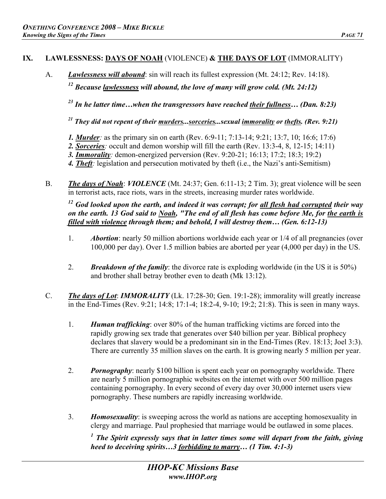## **IX. LAWLESSNESS: DAYS OF NOAH** (VIOLENCE) **& THE DAYS OF LOT** (IMMORALITY)

A. *Lawlessness will abound*: sin will reach its fullest expression (Mt. 24:12; Rev. 14:18).

*12 Because lawlessness will abound, the love of many will grow cold. (Mt. 24:12)* 

*23 In he latter time…when the transgressors have reached their fullness… (Dan. 8:23)*

*21 They did not repent of their murders...sorceries...sexual immorality or thefts. (Rev. 9:21)*

- *1. Murder:* as the primary sin on earth (Rev. 6:9-11; 7:13-14; 9:21; 13:7, 10; 16:6; 17:6)
- *2. Sorceries:* occult and demon worship will fill the earth (Rev. 13:3-4, 8, 12-15; 14:11)
- *3. Immorality:* demon-energized perversion (Rev. 9:20-21; 16:13; 17:2; 18:3; 19:2)
- *4. Theft:* legislation and persecution motivated by theft (i.e., the Nazi's anti-Semitism)
- B. *The days of Noah*: *VIOLENCE* (Mt. 24:37; Gen. 6:11-13; 2 Tim. 3); great violence will be seen in terrorist acts, race riots, wars in the streets, increasing murder rates worldwide.

*<sup>12</sup> God looked upon the earth, and indeed it was corrupt; for all flesh had corrupted their way on the earth. 13 God said to Noah, "The end of all flesh has come before Me, for the earth is filled with violence through them; and behold, I will destroy them… (Gen. 6:12-13)* 

- 1. *Abortion*: nearly 50 million abortions worldwide each year or 1/4 of all pregnancies (over 100,000 per day). Over 1.5 million babies are aborted per year (4,000 per day) in the US.
- 2. *Breakdown of the family*: the divorce rate is exploding worldwide (in the US it is 50%) and brother shall betray brother even to death (Mk 13:12).
- C. *The days of Lot*: *IMMORALITY* (Lk. 17:28-30; Gen. 19:1-28); immorality will greatly increase in the End-Times (Rev. 9:21; 14:8; 17:1-4; 18:2-4, 9-10; 19:2; 21:8). This is seen in many ways.
	- 1. *Human trafficking*: over 80% of the human trafficking victims are forced into the rapidly growing sex trade that generates over \$40 billion per year. Biblical prophecy declares that slavery would be a predominant sin in the End-Times (Rev. 18:13; Joel 3:3). There are currently 35 million slaves on the earth. It is growing nearly 5 million per year.
	- 2. *Pornography*: nearly \$100 billion is spent each year on pornography worldwide. There are nearly 5 million pornographic websites on the internet with over 500 million pages containing pornography. In every second of every day over 30,000 internet users view pornography. These numbers are rapidly increasing worldwide.
	- 3. *Homosexuality*: is sweeping across the world as nations are accepting homosexuality in clergy and marriage. Paul prophesied that marriage would be outlawed in some places.

<sup>1</sup> The Spirit expressly says that in latter times some will depart from the faith, giving *heed to deceiving spirits…3 forbidding to marry… (1 Tim. 4:1-3)*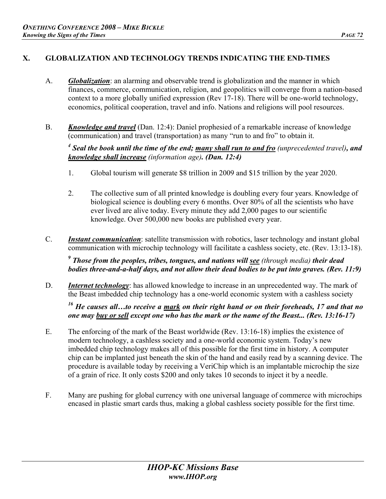# **X. GLOBALIZATION AND TECHNOLOGY TRENDS INDICATING THE END-TIMES**

- A. *Globalization*: an alarming and observable trend is globalization and the manner in which finances, commerce, communication, religion, and geopolitics will converge from a nation-based context to a more globally unified expression (Rev 17-18). There will be one-world technology, economics, political cooperation, travel and info. Nations and religions will pool resources.
- B. *Knowledge and travel* (Dan. 12:4): Daniel prophesied of a remarkable increase of knowledge (communication) and travel (transportation) as many "run to and fro" to obtain it.

*4 Seal the book until the time of the end; many shall run to and fro (unprecedented travel), and knowledge shall increase (information age). (Dan. 12:4)* 

- 1. Global tourism will generate \$8 trillion in 2009 and \$15 trillion by the year 2020.
- 2. The collective sum of all printed knowledge is doubling every four years. Knowledge of biological science is doubling every 6 months. Over 80% of all the scientists who have ever lived are alive today. Every minute they add 2,000 pages to our scientific knowledge. Over 500,000 new books are published every year.
- C. *Instant communication*: satellite transmission with robotics, laser technology and instant global communication with microchip technology will facilitate a cashless society, etc. (Rev. 13:13-18).

*9 Those from the peoples, tribes, tongues, and nations will see (through media) their dead bodies three-and-a-half days, and not allow their dead bodies to be put into graves. (Rev. 11:9)* 

D. *Internet technology*: has allowed knowledge to increase in an unprecedented way. The mark of the Beast imbedded chip technology has a one-world economic system with a cashless society

*16 He causes all…to receive a mark on their right hand or on their foreheads, 17 and that no one may buy or sell except one who has the mark or the name of the Beast... (Rev. 13:16-17)* 

- E. The enforcing of the mark of the Beast worldwide (Rev. 13:16-18) implies the existence of modern technology, a cashless society and a one-world economic system. Today's new imbedded chip technology makes all of this possible for the first time in history. A computer chip can be implanted just beneath the skin of the hand and easily read by a scanning device. The procedure is available today by receiving a VeriChip which is an implantable microchip the size of a grain of rice. It only costs \$200 and only takes 10 seconds to inject it by a needle.
- F. Many are pushing for global currency with one universal language of commerce with microchips encased in plastic smart cards thus, making a global cashless society possible for the first time.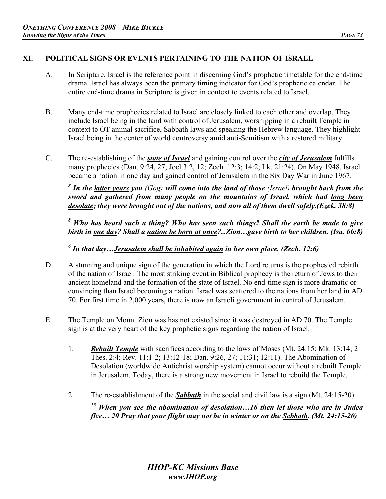# **XI. POLITICAL SIGNS OR EVENTS PERTAINING TO THE NATION OF ISRAEL**

- A. In Scripture, Israel is the reference point in discerning God's prophetic timetable for the end-time drama. Israel has always been the primary timing indicator for God's prophetic calendar. The entire end-time drama in Scripture is given in context to events related to Israel.
- B. Many end-time prophecies related to Israel are closely linked to each other and overlap. They include Israel being in the land with control of Jerusalem, worshipping in a rebuilt Temple in context to OT animal sacrifice, Sabbath laws and speaking the Hebrew language. They highlight Israel being in the center of world controversy amid anti-Semitism with a restored military.
- C. The re-establishing of the *state of Israel* and gaining control over the *city of Jerusalem* fulfills many prophecies (Dan. 9:24, 27; Joel 3:2, 12; Zech. 12:3; 14:2; Lk. 21:24). On May 1948, Israel became a nation in one day and gained control of Jerusalem in the Six Day War in June 1967.

*8 In the latter years you (Gog) will come into the land of those (Israel) brought back from the sword and gathered from many people on the mountains of Israel, which had long been desolate; they were brought out of the nations, and now all of them dwell safely.(Ezek. 38:8)*

<sup>8</sup> Who has heard such a thing? Who has seen such things? Shall the earth be made to give *birth in one day? Shall a nation be born at once?...Zion…gave birth to her children. (Isa. 66:8)* 

<sup>6</sup> In that day...<u>Jerusalem shall be inhabited again</u> in her own place. (Zech. 12:6)

- D. A stunning and unique sign of the generation in which the Lord returns is the prophesied rebirth of the nation of Israel. The most striking event in Biblical prophecy is the return of Jews to their ancient homeland and the formation of the state of Israel. No end-time sign is more dramatic or convincing than Israel becoming a nation. Israel was scattered to the nations from her land in AD 70. For first time in 2,000 years, there is now an Israeli government in control of Jerusalem.
- E. The Temple on Mount Zion was has not existed since it was destroyed in AD 70. The Temple sign is at the very heart of the key prophetic signs regarding the nation of Israel.
	- 1. *Rebuilt Temple* with sacrifices according to the laws of Moses (Mt. 24:15; Mk. 13:14; 2 Thes. 2:4; Rev. 11:1-2; 13:12-18; Dan. 9:26, 27; 11:31; 12:11). The Abomination of Desolation (worldwide Antichrist worship system) cannot occur without a rebuilt Temple in Jerusalem. Today, there is a strong new movement in Israel to rebuild the Temple.
	- 2. The re-establishment of the *Sabbath* in the social and civil law is a sign (Mt. 24:15-20).

*15 When you see the abomination of desolation…16 then let those who are in Judea flee… 20 Pray that your flight may not be in winter or on the Sabbath. (Mt. 24:15-20)*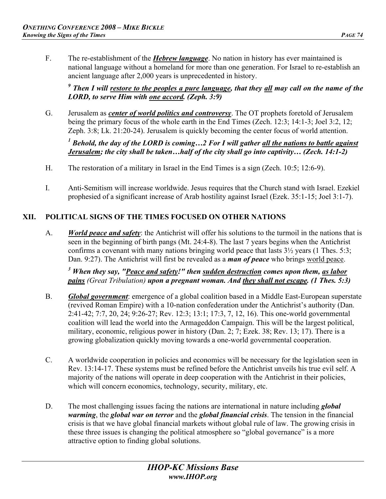F. The re-establishment of the *Hebrew language*. No nation in history has ever maintained is national language without a homeland for more than one generation. For Israel to re-establish an ancient language after 2,000 years is unprecedented in history.

<sup>9</sup> Then I will <u>restore to the peoples a pure language</u>, that they <u>all</u> may call on the name of the *LORD, to serve Him with one accord. (Zeph. 3:9)* 

G. Jerusalem as *center of world politics and controversy*. The OT prophets foretold of Jerusalem being the primary focus of the whole earth in the End Times (Zech. 12:3; 14:1-3; Joel 3:2, 12; Zeph. 3:8; Lk. 21:20-24). Jerusalem is quickly becoming the center focus of world attention.

<sup>1</sup> Behold, the day of the LORD is coming...2 For I will gather <u>all the nations to battle against</u> *Jerusalem; the city shall be taken…half of the city shall go into captivity… (Zech. 14:1-2)* 

- H. The restoration of a military in Israel in the End Times is a sign (Zech. 10:5; 12:6-9).
- I. Anti-Semitism will increase worldwide. Jesus requires that the Church stand with Israel. Ezekiel prophesied of a significant increase of Arab hostility against Israel (Ezek. 35:1-15; Joel 3:1-7).

# **XII. POLITICAL SIGNS OF THE TIMES FOCUSED ON OTHER NATIONS**

A. *World peace and safety*: the Antichrist will offer his solutions to the turmoil in the nations that is seen in the beginning of birth pangs (Mt. 24:4-8). The last 7 years begins when the Antichrist confirms a covenant with many nations bringing world peace that lasts  $3\frac{1}{2}$  years (1 Thes. 5:3; Dan. 9:27). The Antichrist will first be revealed as a *man of peace* who brings world peace.

*3 When they say, "Peace and safety!" then sudden destruction comes upon them, as labor pains (Great Tribulation) upon a pregnant woman. And they shall not escape. (1 Thes. 5:3)* 

- B. *Global government*: emergence of a global coalition based in a Middle East-European superstate (revived Roman Empire) with a 10-nation confederation under the Antichrist's authority (Dan. 2:41-42; 7:7, 20, 24; 9:26-27; Rev. 12:3; 13:1; 17:3, 7, 12, 16). This one-world governmental coalition will lead the world into the Armageddon Campaign. This will be the largest political, military, economic, religious power in history (Dan. 2; 7; Ezek. 38; Rev. 13; 17). There is a growing globalization quickly moving towards a one-world governmental cooperation.
- C. A worldwide cooperation in policies and economics will be necessary for the legislation seen in Rev. 13:14-17. These systems must be refined before the Antichrist unveils his true evil self. A majority of the nations will operate in deep cooperation with the Antichrist in their policies, which will concern economics, technology, security, military, etc.
- D. The most challenging issues facing the nations are international in nature including *global warming*, the *global war on terror* and the *global financial crisis*. The tension in the financial crisis is that we have global financial markets without global rule of law. The growing crisis in these three issues is changing the political atmosphere so "global governance" is a more attractive option to finding global solutions.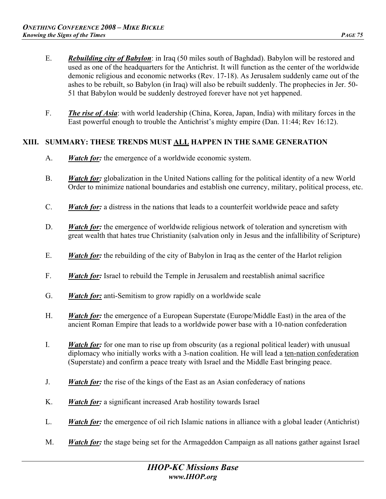- E. *Rebuilding city of Babylon*: in Iraq (50 miles south of Baghdad). Babylon will be restored and used as one of the headquarters for the Antichrist. It will function as the center of the worldwide demonic religious and economic networks (Rev. 17-18). As Jerusalem suddenly came out of the ashes to be rebuilt, so Babylon (in Iraq) will also be rebuilt suddenly. The prophecies in Jer. 50- 51 that Babylon would be suddenly destroyed forever have not yet happened.
- F. *The rise of Asia*: with world leadership (China, Korea, Japan, India) with military forces in the East powerful enough to trouble the Antichrist's mighty empire (Dan. 11:44; Rev 16:12).

#### **XIII. SUMMARY: THESE TRENDS MUST ALL HAPPEN IN THE SAME GENERATION**

- A. *Watch for:* the emergence of a worldwide economic system.
- B. *Watch for:* globalization in the United Nations calling for the political identity of a new World Order to minimize national boundaries and establish one currency, military, political process, etc.
- C. *Watch for:* a distress in the nations that leads to a counterfeit worldwide peace and safety
- D. *Watch for:* the emergence of worldwide religious network of toleration and syncretism with great wealth that hates true Christianity (salvation only in Jesus and the infallibility of Scripture)
- E. *Watch for:* the rebuilding of the city of Babylon in Iraq as the center of the Harlot religion
- F. *Watch for:* Israel to rebuild the Temple in Jerusalem and reestablish animal sacrifice
- G. *Watch for:* anti-Semitism to grow rapidly on a worldwide scale
- H. *Watch for:* the emergence of a European Superstate (Europe/Middle East) in the area of the ancient Roman Empire that leads to a worldwide power base with a 10-nation confederation
- I. *Watch for:* for one man to rise up from obscurity (as a regional political leader) with unusual diplomacy who initially works with a 3-nation coalition. He will lead a ten-nation confederation (Superstate) and confirm a peace treaty with Israel and the Middle East bringing peace.
- J. *Watch for:* the rise of the kings of the East as an Asian confederacy of nations
- K. *Watch for:* a significant increased Arab hostility towards Israel
- L. *Watch for:* the emergence of oil rich Islamic nations in alliance with a global leader (Antichrist)
- M. *Watch for:* the stage being set for the Armageddon Campaign as all nations gather against Israel